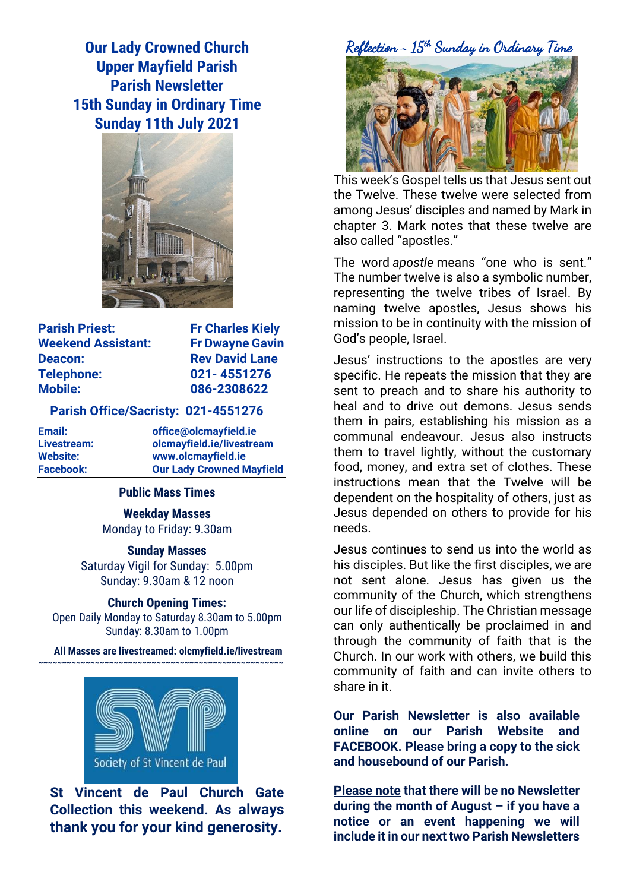**Our Lady Crowned Church Upper Mayfield Parish Parish Newsletter 15th Sunday in Ordinary Time Sunday 11th July 2021**



| <b>Parish Priest:</b>     |
|---------------------------|
| <b>Weekend Assistant:</b> |
| <b>Deacon:</b>            |
| <b>Telephone:</b>         |
| <b>Mobile:</b>            |

**Fr Charles Kiely Fr Dwayne Gavin Rev David Lane Telephone: 021- 4551276 Mobile: 086-2308622** 

## **Parish Office/Sacristy: 021-4551276**

**Email: office@olcmayfield.ie Livestream: olcmayfield.ie/livestream Website: www.olcmayfield.ie Facebook: Our Lady Crowned Mayfield**

## **Public Mass Times**

**Weekday Masses** Monday to Friday: 9.30am

**Sunday Masses**

Saturday Vigil for Sunday: 5.00pm Sunday: 9.30am & 12 noon

#### **Church Opening Times:**

Open Daily Monday to Saturday 8.30am to 5.00pm Sunday: 8.30am to 1.00pm

**All Masses are livestreamed: olcmyfield.ie/livestream ~~~~~~~~~~~~~~~~~~~~~~~~~~~~~~~~~~~~~~~~~~~~~~~~~~~~**



**St Vincent de Paul Church Gate Collection this weekend. As always thank you for your kind generosity.**

Reflection ~ 15th Sunday in Ordinary Time

This week's Gospel tells us that Jesus sent out the Twelve. These twelve were selected from among Jesus' disciples and named by Mark in chapter 3. Mark notes that these twelve are also called "apostles."

The word *apostle* means "one who is sent." The number twelve is also a symbolic number, representing the twelve tribes of Israel. By naming twelve apostles, Jesus shows his mission to be in continuity with the mission of God's people, Israel.

Jesus' instructions to the apostles are very specific. He repeats the mission that they are sent to preach and to share his authority to heal and to drive out demons. Jesus sends them in pairs, establishing his mission as a communal endeavour. Jesus also instructs them to travel lightly, without the customary food, money, and extra set of clothes. These instructions mean that the Twelve will be dependent on the hospitality of others, just as Jesus depended on others to provide for his needs.

Jesus continues to send us into the world as his disciples. But like the first disciples, we are not sent alone. Jesus has given us the community of the Church, which strengthens our life of discipleship. The Christian message can only authentically be proclaimed in and through the community of faith that is the Church. In our work with others, we build this community of faith and can invite others to share in it.

**Our Parish Newsletter is also available online on our Parish Website and FACEBOOK. Please bring a copy to the sick and housebound of our Parish.**

**Please note that there will be no Newsletter during the month of August – if you have a notice or an event happening we will include it in our next two Parish Newsletters**